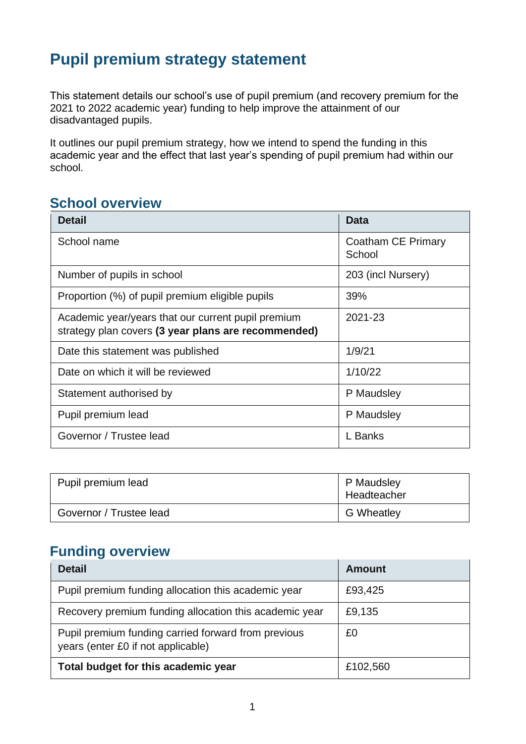# **Pupil premium strategy statement**

This statement details our school's use of pupil premium (and recovery premium for the 2021 to 2022 academic year) funding to help improve the attainment of our disadvantaged pupils.

It outlines our pupil premium strategy, how we intend to spend the funding in this academic year and the effect that last year's spending of pupil premium had within our school.

#### **School overview**

| <b>Detail</b>                                                                                             | Data                         |
|-----------------------------------------------------------------------------------------------------------|------------------------------|
| School name                                                                                               | Coatham CE Primary<br>School |
| Number of pupils in school                                                                                | 203 (incl Nursery)           |
| Proportion (%) of pupil premium eligible pupils                                                           | 39%                          |
| Academic year/years that our current pupil premium<br>strategy plan covers (3 year plans are recommended) | 2021-23                      |
| Date this statement was published                                                                         | 1/9/21                       |
| Date on which it will be reviewed                                                                         | 1/10/22                      |
| Statement authorised by                                                                                   | P Maudsley                   |
| Pupil premium lead                                                                                        | P Maudsley                   |
| Governor / Trustee lead                                                                                   | L Banks                      |

| Pupil premium lead      | P Maudsley<br>Headteacher |
|-------------------------|---------------------------|
| Governor / Trustee lead | <b>G</b> Wheatley         |

## **Funding overview**

| <b>Detail</b>                                                                             | Amount   |
|-------------------------------------------------------------------------------------------|----------|
| Pupil premium funding allocation this academic year                                       | £93,425  |
| Recovery premium funding allocation this academic year                                    | £9,135   |
| Pupil premium funding carried forward from previous<br>years (enter £0 if not applicable) | £0       |
| Total budget for this academic year                                                       | £102,560 |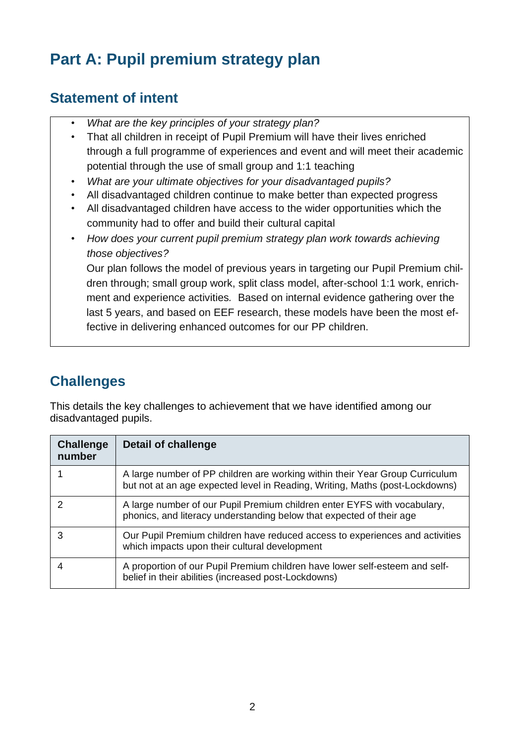# **Part A: Pupil premium strategy plan**

# **Statement of intent**

- *What are the key principles of your strategy plan?*
- That all children in receipt of Pupil Premium will have their lives enriched through a full programme of experiences and event and will meet their academic potential through the use of small group and 1:1 teaching
- *What are your ultimate objectives for your disadvantaged pupils?*
- All disadvantaged children continue to make better than expected progress
- All disadvantaged children have access to the wider opportunities which the community had to offer and build their cultural capital
- *How does your current pupil premium strategy plan work towards achieving those objectives?*

Our plan follows the model of previous years in targeting our Pupil Premium children through; small group work, split class model, after-school 1:1 work, enrichment and experience activities*.* Based on internal evidence gathering over the last 5 years, and based on EEF research, these models have been the most effective in delivering enhanced outcomes for our PP children.

# **Challenges**

This details the key challenges to achievement that we have identified among our disadvantaged pupils.

| Challenge<br>number | <b>Detail of challenge</b>                                                                                                                                   |
|---------------------|--------------------------------------------------------------------------------------------------------------------------------------------------------------|
|                     | A large number of PP children are working within their Year Group Curriculum<br>but not at an age expected level in Reading, Writing, Maths (post-Lockdowns) |
|                     | A large number of our Pupil Premium children enter EYFS with vocabulary,<br>phonics, and literacy understanding below that expected of their age             |
|                     | Our Pupil Premium children have reduced access to experiences and activities<br>which impacts upon their cultural development                                |
|                     | A proportion of our Pupil Premium children have lower self-esteem and self-<br>belief in their abilities (increased post-Lockdowns)                          |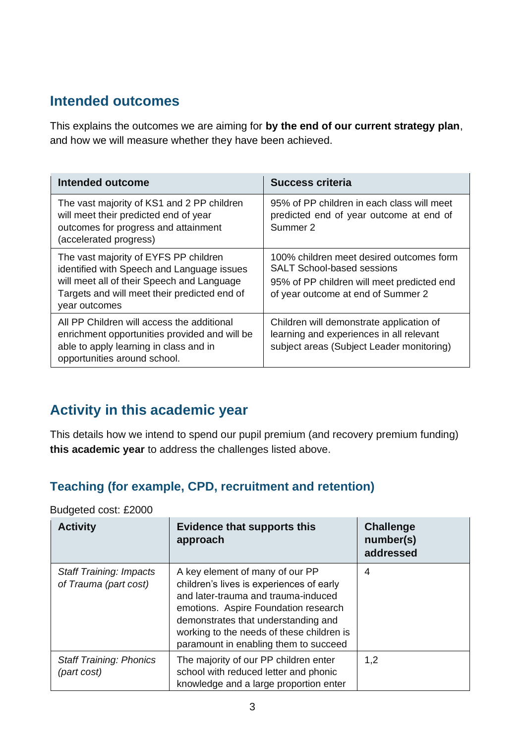# **Intended outcomes**

This explains the outcomes we are aiming for **by the end of our current strategy plan**, and how we will measure whether they have been achieved.

| Intended outcome                                                                                                                                                                                   | <b>Success criteria</b>                                                                                                                                           |
|----------------------------------------------------------------------------------------------------------------------------------------------------------------------------------------------------|-------------------------------------------------------------------------------------------------------------------------------------------------------------------|
| The vast majority of KS1 and 2 PP children<br>will meet their predicted end of year<br>outcomes for progress and attainment<br>(accelerated progress)                                              | 95% of PP children in each class will meet<br>predicted end of year outcome at end of<br>Summer 2                                                                 |
| The vast majority of EYFS PP children<br>identified with Speech and Language issues<br>will meet all of their Speech and Language<br>Targets and will meet their predicted end of<br>year outcomes | 100% children meet desired outcomes form<br><b>SALT School-based sessions</b><br>95% of PP children will meet predicted end<br>of year outcome at end of Summer 2 |
| All PP Children will access the additional<br>enrichment opportunities provided and will be<br>able to apply learning in class and in<br>opportunities around school.                              | Children will demonstrate application of<br>learning and experiences in all relevant<br>subject areas (Subject Leader monitoring)                                 |

# **Activity in this academic year**

This details how we intend to spend our pupil premium (and recovery premium funding) **this academic year** to address the challenges listed above.

#### **Teaching (for example, CPD, recruitment and retention)**

| <b>Activity</b>                                         | <b>Evidence that supports this</b><br>approach                                                                                                                                                                                                                                          | <b>Challenge</b><br>number(s)<br>addressed |
|---------------------------------------------------------|-----------------------------------------------------------------------------------------------------------------------------------------------------------------------------------------------------------------------------------------------------------------------------------------|--------------------------------------------|
| <b>Staff Training: Impacts</b><br>of Trauma (part cost) | A key element of many of our PP<br>children's lives is experiences of early<br>and later-trauma and trauma-induced<br>emotions. Aspire Foundation research<br>demonstrates that understanding and<br>working to the needs of these children is<br>paramount in enabling them to succeed | 4                                          |
| <b>Staff Training: Phonics</b><br>(part cost)           | The majority of our PP children enter<br>school with reduced letter and phonic<br>knowledge and a large proportion enter                                                                                                                                                                | 1,2                                        |

Budgeted cost: £2000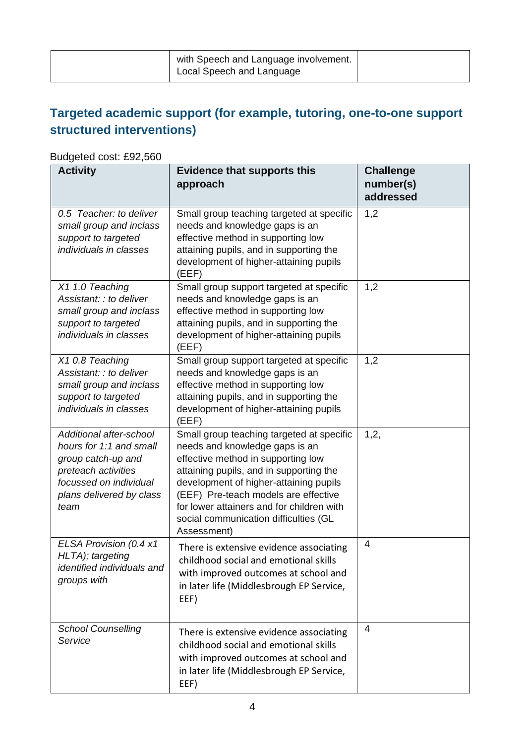| with Speech and Language involvement.<br>Local Speech and Language |  |
|--------------------------------------------------------------------|--|
|                                                                    |  |

# **Targeted academic support (for example, tutoring, one-to-one support structured interventions)**

#### Budgeted cost: £92,560

| <b>Activity</b>                                                                                                                                               | <b>Evidence that supports this</b><br>approach                                                                                                                                                                                                                                                                                                      | <b>Challenge</b><br>number(s)<br>addressed |
|---------------------------------------------------------------------------------------------------------------------------------------------------------------|-----------------------------------------------------------------------------------------------------------------------------------------------------------------------------------------------------------------------------------------------------------------------------------------------------------------------------------------------------|--------------------------------------------|
| 0.5 Teacher: to deliver<br>small group and inclass<br>support to targeted<br>individuals in classes                                                           | Small group teaching targeted at specific<br>needs and knowledge gaps is an<br>effective method in supporting low<br>attaining pupils, and in supporting the<br>development of higher-attaining pupils<br>(EEF)                                                                                                                                     | 1,2                                        |
| X1 1.0 Teaching<br>Assistant: : to deliver<br>small group and inclass<br>support to targeted<br>individuals in classes                                        | Small group support targeted at specific<br>needs and knowledge gaps is an<br>effective method in supporting low<br>attaining pupils, and in supporting the<br>development of higher-attaining pupils<br>(EEF)                                                                                                                                      | 1,2                                        |
| X10.8 Teaching<br>Assistant: : to deliver<br>small group and inclass<br>support to targeted<br>individuals in classes                                         | Small group support targeted at specific<br>needs and knowledge gaps is an<br>effective method in supporting low<br>attaining pupils, and in supporting the<br>development of higher-attaining pupils<br>(EEF)                                                                                                                                      | 1,2                                        |
| Additional after-school<br>hours for 1:1 and small<br>group catch-up and<br>preteach activities<br>focussed on individual<br>plans delivered by class<br>team | Small group teaching targeted at specific<br>needs and knowledge gaps is an<br>effective method in supporting low<br>attaining pupils, and in supporting the<br>development of higher-attaining pupils<br>(EEF) Pre-teach models are effective<br>for lower attainers and for children with<br>social communication difficulties (GL<br>Assessment) | 1,2,                                       |
| ELSA Provision (0.4 x1<br>HLTA); targeting<br>identified individuals and<br>groups with                                                                       | There is extensive evidence associating<br>childhood social and emotional skills<br>with improved outcomes at school and<br>in later life (Middlesbrough EP Service,<br>EEF)                                                                                                                                                                        | 4                                          |
| <b>School Counselling</b><br>Service                                                                                                                          | There is extensive evidence associating<br>childhood social and emotional skills<br>with improved outcomes at school and<br>in later life (Middlesbrough EP Service,<br>EEF)                                                                                                                                                                        | 4                                          |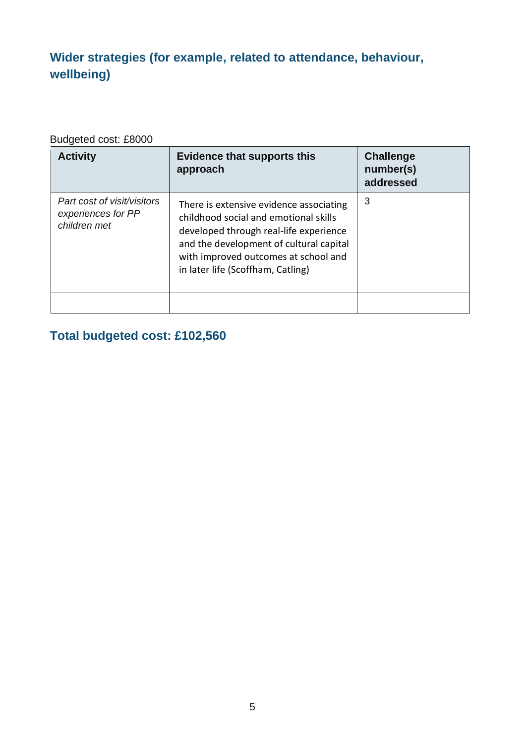# **Wider strategies (for example, related to attendance, behaviour, wellbeing)**

#### Budgeted cost: £8000

| <b>Activity</b>                                                   | <b>Evidence that supports this</b><br>approach                                                                                                                                                                                                     | <b>Challenge</b><br>number(s)<br>addressed |
|-------------------------------------------------------------------|----------------------------------------------------------------------------------------------------------------------------------------------------------------------------------------------------------------------------------------------------|--------------------------------------------|
| Part cost of visit/visitors<br>experiences for PP<br>children met | There is extensive evidence associating<br>childhood social and emotional skills<br>developed through real-life experience<br>and the development of cultural capital<br>with improved outcomes at school and<br>in later life (Scoffham, Catling) | 3                                          |
|                                                                   |                                                                                                                                                                                                                                                    |                                            |

### **Total budgeted cost: £102,560**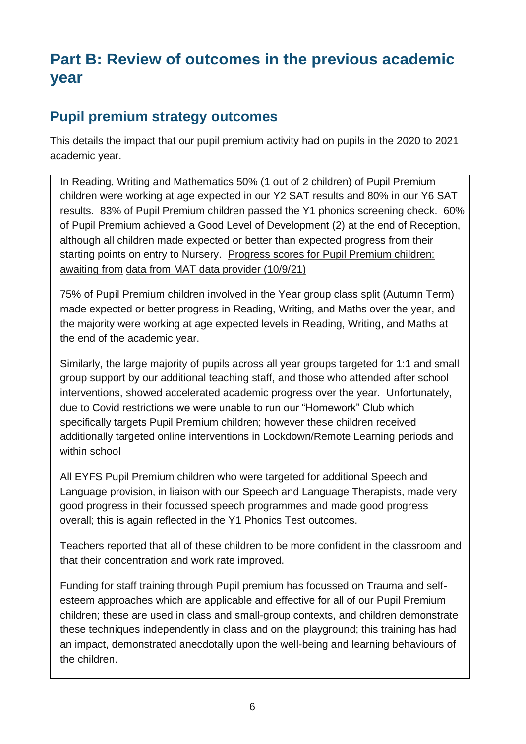# **Part B: Review of outcomes in the previous academic year**

## **Pupil premium strategy outcomes**

This details the impact that our pupil premium activity had on pupils in the 2020 to 2021 academic year.

In Reading, Writing and Mathematics 50% (1 out of 2 children) of Pupil Premium children were working at age expected in our Y2 SAT results and 80% in our Y6 SAT results. 83% of Pupil Premium children passed the Y1 phonics screening check. 60% of Pupil Premium achieved a Good Level of Development (2) at the end of Reception, although all children made expected or better than expected progress from their starting points on entry to Nursery. Progress scores for Pupil Premium children: awaiting from data from MAT data provider (10/9/21)

75% of Pupil Premium children involved in the Year group class split (Autumn Term) made expected or better progress in Reading, Writing, and Maths over the year, and the majority were working at age expected levels in Reading, Writing, and Maths at the end of the academic year.

Similarly, the large majority of pupils across all year groups targeted for 1:1 and small group support by our additional teaching staff, and those who attended after school interventions, showed accelerated academic progress over the year. Unfortunately, due to Covid restrictions we were unable to run our "Homework" Club which specifically targets Pupil Premium children; however these children received additionally targeted online interventions in Lockdown/Remote Learning periods and within school

All EYFS Pupil Premium children who were targeted for additional Speech and Language provision, in liaison with our Speech and Language Therapists, made very good progress in their focussed speech programmes and made good progress overall; this is again reflected in the Y1 Phonics Test outcomes.

Teachers reported that all of these children to be more confident in the classroom and that their concentration and work rate improved.

Funding for staff training through Pupil premium has focussed on Trauma and selfesteem approaches which are applicable and effective for all of our Pupil Premium children; these are used in class and small-group contexts, and children demonstrate these techniques independently in class and on the playground; this training has had an impact, demonstrated anecdotally upon the well-being and learning behaviours of the children.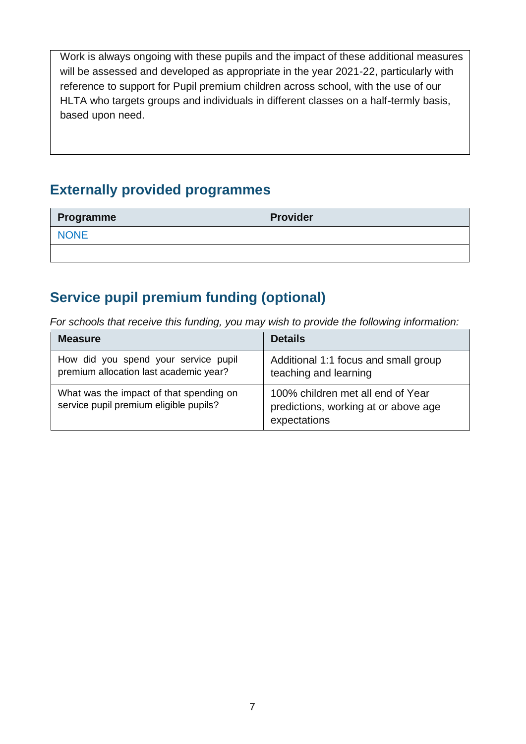Work is always ongoing with these pupils and the impact of these additional measures will be assessed and developed as appropriate in the year 2021-22, particularly with reference to support for Pupil premium children across school, with the use of our HLTA who targets groups and individuals in different classes on a half-termly basis, based upon need.

## **Externally provided programmes**

| Programme   | <b>Provider</b> |
|-------------|-----------------|
| <b>NONE</b> |                 |
|             |                 |

# **Service pupil premium funding (optional)**

*For schools that receive this funding, you may wish to provide the following information:* 

| <b>Measure</b>                                                                    | <b>Details</b>                                                                            |
|-----------------------------------------------------------------------------------|-------------------------------------------------------------------------------------------|
| How did you spend your service pupil<br>premium allocation last academic year?    | Additional 1:1 focus and small group<br>teaching and learning                             |
| What was the impact of that spending on<br>service pupil premium eligible pupils? | 100% children met all end of Year<br>predictions, working at or above age<br>expectations |